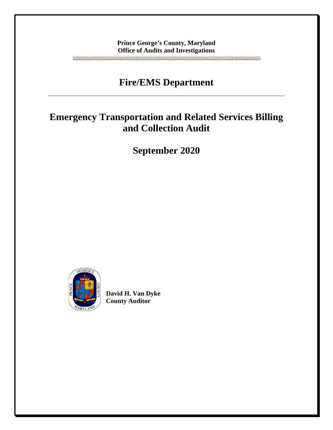**Prince George's County, Maryland Office of Audits and Investigations**

## **Fire/EMS Department**

## **Emergency Transportation and Related Services Billing and Collection Audit**

**September 2020**



**David H. Van Dyke County Auditor**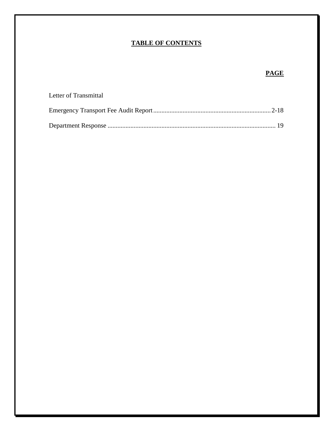## **TABLE OF CONTENTS**

## **PAGE**

| Letter of Transmittal |  |
|-----------------------|--|
|                       |  |
|                       |  |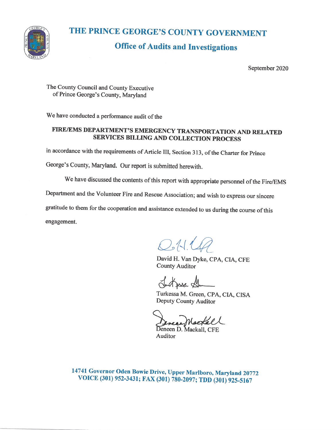

# THE PRINCE GEORGE'S COUNTY GOVERNMENT

## **Office of Audits and Investigations**

September 2020

The County Council and County Executive of Prince George's County, Maryland

We have conducted a performance audit of the

#### FIRE/EMS DEPARTMENT'S EMERGENCY TRANSPORTATION AND RELATED **SERVICES BILLING AND COLLECTION PROCESS**

in accordance with the requirements of Article III, Section 313, of the Charter for Prince

George's County, Maryland. Our report is submitted herewith.

We have discussed the contents of this report with appropriate personnel of the Fire/EMS

Department and the Volunteer Fire and Rescue Association; and wish to express our sincere

gratitude to them for the cooperation and assistance extended to us during the course of this

engagement.

 $QN.44$ 

David H. Van Dyke, CPA, CIA, CFE **County Auditor** 

Judgesse St

Turkessa M. Green, CPA, CIA, CISA Deputy County Auditor

Deneen D. Mackall, CFE Auditor

14741 Governor Oden Bowie Drive, Upper Marlboro, Maryland 20772 VOICE (301) 952-3431; FAX (301) 780-2097; TDD (301) 925-5167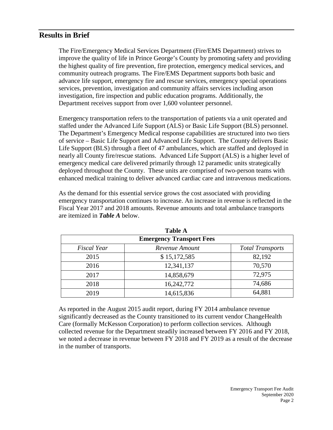#### **Results in Brief**

The Fire/Emergency Medical Services Department (Fire/EMS Department) strives to improve the quality of life in Prince George's County by promoting safety and providing the highest quality of fire prevention, fire protection, emergency medical services, and community outreach programs. The Fire/EMS Department supports both basic and advance life support, emergency fire and rescue services, emergency special operations services, prevention, investigation and community affairs services including arson investigation, fire inspection and public education programs. Additionally, the Department receives support from over 1,600 volunteer personnel.

Emergency transportation refers to the transportation of patients via a unit operated and staffed under the Advanced Life Support (ALS) or Basic Life Support (BLS) personnel. The Department's Emergency Medical response capabilities are structured into two tiers of service – Basic Life Support and Advanced Life Support. The County delivers Basic Life Support (BLS) through a fleet of 47 ambulances, which are staffed and deployed in nearly all County fire/rescue stations. Advanced Life Support (ALS) is a higher level of emergency medical care delivered primarily through 12 paramedic units strategically deployed throughout the County. These units are comprised of two-person teams with enhanced medical training to deliver advanced cardiac care and intravenous medications.

As the demand for this essential service grows the cost associated with providing emergency transportation continues to increase. An increase in revenue is reflected in the Fiscal Year 2017 and 2018 amounts. Revenue amounts and total ambulance transports are itemized in *Table A* below.

| 1 adie A<br><b>Emergency Transport Fees</b> |                |                         |  |
|---------------------------------------------|----------------|-------------------------|--|
| <b>Fiscal Year</b>                          | Revenue Amount | <b>Total Transports</b> |  |
| 2015                                        | \$15,172,585   | 82,192                  |  |
| 2016                                        | 12,341,137     | 70,570                  |  |
| 2017                                        | 14,858,679     | 72,975                  |  |
| 2018                                        | 16,242,772     | 74,686                  |  |
| 2019                                        | 14,615,836     | 64,881                  |  |

**Table A**

As reported in the August 2015 audit report, during FY 2014 ambulance revenue significantly decreased as the County transitioned to its current vendor ChangeHealth Care (formally McKesson Corporation) to perform collection services. Although collected revenue for the Department steadily increased between FY 2016 and FY 2018, we noted a decrease in revenue between FY 2018 and FY 2019 as a result of the decrease in the number of transports.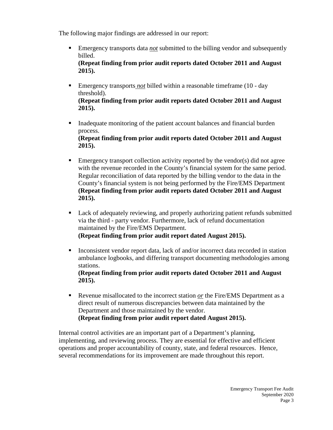The following major findings are addressed in our report:

 Emergency transports data *not* submitted to the billing vendor and subsequently billed.

**(Repeat finding from prior audit reports dated October 2011 and August 2015).**

- Emergency transports *not* billed within a reasonable timeframe (10 day threshold). **(Repeat finding from prior audit reports dated October 2011 and August 2015).**
- Inadequate monitoring of the patient account balances and financial burden process. **(Repeat finding from prior audit reports dated October 2011 and August**

**2015).**

- Emergency transport collection activity reported by the vendor(s) did not agree with the revenue recorded in the County's financial system for the same period. Regular reconciliation of data reported by the billing vendor to the data in the County's financial system is not being performed by the Fire/EMS Department **(Repeat finding from prior audit reports dated October 2011 and August 2015).**
- Lack of adequately reviewing, and properly authorizing patient refunds submitted via the third - party vendor. Furthermore, lack of refund documentation maintained by the Fire/EMS Department. **(Repeat finding from prior audit report dated August 2015).**
- Inconsistent vendor report data, lack of and/or incorrect data recorded in station ambulance logbooks, and differing transport documenting methodologies among stations.

**(Repeat finding from prior audit reports dated October 2011 and August 2015).**

Revenue misallocated to the incorrect station *or* the Fire/EMS Department as a direct result of numerous discrepancies between data maintained by the Department and those maintained by the vendor. **(Repeat finding from prior audit report dated August 2015).**

Internal control activities are an important part of a Department's planning, implementing, and reviewing process. They are essential for effective and efficient operations and proper accountability of county, state, and federal resources. Hence, several recommendations for its improvement are made throughout this report.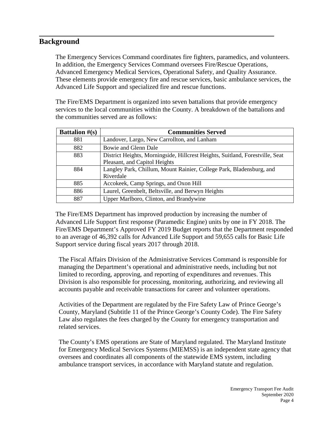#### **Background**

The Emergency Services Command coordinates fire fighters, paramedics, and volunteers. In addition, the Emergency Services Command oversees Fire/Rescue Operations, Advanced Emergency Medical Services, Operational Safety, and Quality Assurance. These elements provide emergency fire and rescue services, basic ambulance services, the Advanced Life Support and specialized fire and rescue functions.

The Fire/EMS Department is organized into seven battalions that provide emergency services to the local communities within the County. A breakdown of the battalions and the communities served are as follows:

| <b>Battalion</b> $\#(s)$ | <b>Communities Served</b>                                                     |
|--------------------------|-------------------------------------------------------------------------------|
| 881                      | Landover, Largo, New Carrollton, and Lanham                                   |
| 882                      | Bowie and Glenn Dale                                                          |
| 883                      | District Heights, Morningside, Hillcrest Heights, Suitland, Forestville, Seat |
|                          | Pleasant, and Capitol Heights                                                 |
| 884                      | Langley Park, Chillum, Mount Rainier, College Park, Bladensburg, and          |
|                          | Riverdale                                                                     |
| 885                      | Accokeek, Camp Springs, and Oxon Hill                                         |
| 886                      | Laurel, Greenbelt, Beltsville, and Berwyn Heights                             |
| 887                      | Upper Marlboro, Clinton, and Brandywine                                       |

The Fire/EMS Department has improved production by increasing the number of Advanced Life Support first response (Paramedic Engine) units by one in FY 2018. The Fire/EMS Department's Approved FY 2019 Budget reports that the Department responded to an average of 46,392 calls for Advanced Life Support and 59,655 calls for Basic Life Support service during fiscal years 2017 through 2018.

The Fiscal Affairs Division of the Administrative Services Command is responsible for managing the Department's operational and administrative needs, including but not limited to recording, approving, and reporting of expenditures and revenues. This Division is also responsible for processing, monitoring, authorizing, and reviewing all accounts payable and receivable transactions for career and volunteer operations.

Activities of the Department are regulated by the Fire Safety Law of Prince George's County, Maryland (Subtitle 11 of the Prince George's County Code). The Fire Safety Law also regulates the fees charged by the County for emergency transportation and related services.

The County's EMS operations are State of Maryland regulated. The Maryland Institute for Emergency Medical Services Systems (MIEMSS) is an independent state agency that oversees and coordinates all components of the statewide EMS system, including ambulance transport services, in accordance with Maryland statute and regulation.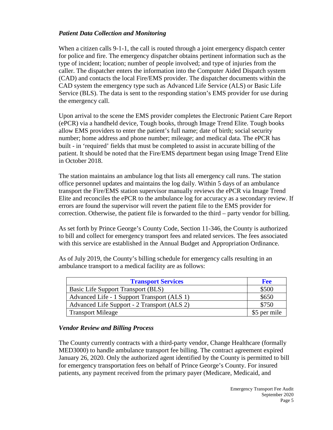#### *Patient Data Collection and Monitoring*

When a citizen calls 9-1-1, the call is routed through a joint emergency dispatch center for police and fire. The emergency dispatcher obtains pertinent information such as the type of incident; location; number of people involved; and type of injuries from the caller. The dispatcher enters the information into the Computer Aided Dispatch system (CAD) and contacts the local Fire/EMS provider. The dispatcher documents within the CAD system the emergency type such as Advanced Life Service (ALS) or Basic Life Service (BLS). The data is sent to the responding station's EMS provider for use during the emergency call.

Upon arrival to the scene the EMS provider completes the Electronic Patient Care Report (ePCR) via a handheld device, Tough books, through Image Trend Elite. Tough books allow EMS providers to enter the patient's full name; date of birth; social security number; home address and phone number; mileage; and medical data. The ePCR has built - in 'required' fields that must be completed to assist in accurate billing of the patient. It should be noted that the Fire/EMS department began using Image Trend Elite in October 2018.

The station maintains an ambulance log that lists all emergency call runs. The station office personnel updates and maintains the log daily. Within 5 days of an ambulance transport the Fire/EMS station supervisor manually reviews the ePCR via Image Trend Elite and reconciles the ePCR to the ambulance log for accuracy as a secondary review. If errors are found the supervisor will revert the patient file to the EMS provider for correction. Otherwise, the patient file is forwarded to the third – party vendor for billing.

As set forth by Prince George's County Code, Section 11-346, the County is authorized to bill and collect for emergency transport fees and related services. The fees associated with this service are established in the Annual Budget and Appropriation Ordinance.

As of July 2019, the County's billing schedule for emergency calls resulting in an ambulance transport to a medical facility are as follows:

| <b>Transport Services</b>                   | <b>Fee</b>   |
|---------------------------------------------|--------------|
| Basic Life Support Transport (BLS)          | \$500        |
| Advanced Life - 1 Support Transport (ALS 1) | \$650        |
| Advanced Life Support - 2 Transport (ALS 2) | \$750        |
| <b>Transport Mileage</b>                    | \$5 per mile |

#### *Vendor Review and Billing Process*

The County currently contracts with a third-party vendor, Change Healthcare (formally MED3000) to handle ambulance transport fee billing. The contract agreement expired January 26, 2020. Only the authorized agent identified by the County is permitted to bill for emergency transportation fees on behalf of Prince George's County. For insured patients, any payment received from the primary payer (Medicare, Medicaid, and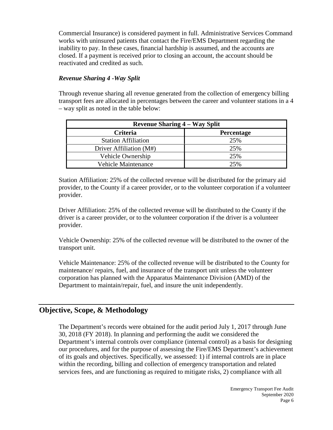Commercial Insurance) is considered payment in full. Administrative Services Command works with uninsured patients that contact the Fire/EMS Department regarding the inability to pay. In these cases, financial hardship is assumed, and the accounts are closed. If a payment is received prior to closing an account, the account should be reactivated and credited as such.

#### *Revenue Sharing 4 -Way Split*

Through revenue sharing all revenue generated from the collection of emergency billing transport fees are allocated in percentages between the career and volunteer stations in a 4 – way split as noted in the table below:

| <b>Revenue Sharing 4 – Way Split</b> |            |  |
|--------------------------------------|------------|--|
| Criteria                             | Percentage |  |
| <b>Station Affiliation</b>           | 25%        |  |
| Driver Affiliation (M#)              | 25%        |  |
| Vehicle Ownership                    | 25%        |  |
| <b>Vehicle Maintenance</b>           | 25%        |  |

Station Affiliation: 25% of the collected revenue will be distributed for the primary aid provider, to the County if a career provider, or to the volunteer corporation if a volunteer provider.

Driver Affiliation: 25% of the collected revenue will be distributed to the County if the driver is a career provider, or to the volunteer corporation if the driver is a volunteer provider.

Vehicle Ownership: 25% of the collected revenue will be distributed to the owner of the transport unit.

Vehicle Maintenance: 25% of the collected revenue will be distributed to the County for maintenance/ repairs, fuel, and insurance of the transport unit unless the volunteer corporation has planned with the Apparatus Maintenance Division (AMD) of the Department to maintain/repair, fuel, and insure the unit independently.

## **Objective, Scope, & Methodology**

The Department's records were obtained for the audit period July 1, 2017 through June 30, 2018 (FY 2018). In planning and performing the audit we considered the Department's internal controls over compliance (internal control) as a basis for designing our procedures, and for the purpose of assessing the Fire/EMS Department's achievement of its goals and objectives. Specifically, we assessed: 1) if internal controls are in place within the recording, billing and collection of emergency transportation and related services fees, and are functioning as required to mitigate risks, 2) compliance with all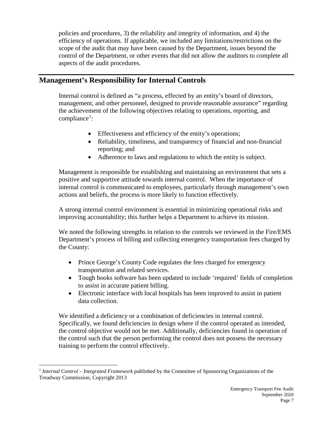policies and procedures, 3) the reliability and integrity of information, and 4) the efficiency of operations. If applicable, we included any limitations/restrictions on the scope of the audit that may have been caused by the Department, issues beyond the control of the Department, or other events that did not allow the auditors to complete all aspects of the audit procedures.

## **Management's Responsibility for Internal Controls**

Internal control is defined as "a process, effected by an entity's board of directors, management, and other personnel, designed to provide reasonable assurance" regarding the achievement of the following objectives relating to operations, reporting, and compliance<sup>[1](#page-8-0)</sup>:

- Effectiveness and efficiency of the entity's operations;
- Reliability, timeliness, and transparency of financial and non-financial reporting; and
- Adherence to laws and regulations to which the entity is subject.

Management is responsible for establishing and maintaining an environment that sets a positive and supportive attitude towards internal control. When the importance of internal control is communicated to employees, particularly through management's own actions and beliefs, the process is more likely to function effectively.

A strong internal control environment is essential in minimizing operational risks and improving accountability; this further helps a Department to achieve its mission.

We noted the following strengths in relation to the controls we reviewed in the Fire/EMS Department's process of billing and collecting emergency transportation fees charged by the County:

- Prince George's County Code regulates the fees charged for emergency transportation and related services.
- Tough books software has been updated to include 'required' fields of completion to assist in accurate patient billing.
- Electronic interface with local hospitals has been improved to assist in patient data collection.

We identified a deficiency or a combination of deficiencies in internal control. Specifically, we found deficiencies in design where if the control operated as intended, the control objective would not be met. Additionally, deficiencies found in operation of the control such that the person performing the control does not possess the necessary training to perform the control effectively.

<span id="page-8-0"></span> <sup>1</sup> *Internal Control – Integrated Framework* published by the Committee of Sponsoring Organizations of the Treadway Commission, Copyright 2013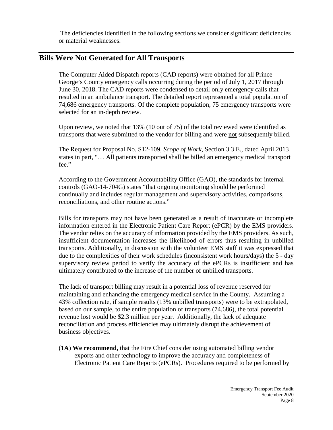The deficiencies identified in the following sections we consider significant deficiencies or material weaknesses.

#### **Bills Were Not Generated for All Transports**

The Computer Aided Dispatch reports (CAD reports) were obtained for all Prince George's County emergency calls occurring during the period of July 1, 2017 through June 30, 2018. The CAD reports were condensed to detail only emergency calls that resulted in an ambulance transport. The detailed report represented a total population of 74,686 emergency transports. Of the complete population, 75 emergency transports were selected for an in-depth review.

Upon review, we noted that 13% (10 out of 75) of the total reviewed were identified as transports that were submitted to the vendor for billing and were not subsequently billed.

The Request for Proposal No. S12-109, *Scope of Work*, Section 3.3 E., dated April 2013 states in part, "… All patients transported shall be billed an emergency medical transport fee."

According to the Government Accountability Office (GAO), the standards for internal controls (GAO-14-704G) states "that ongoing monitoring should be performed continually and includes regular management and supervisory activities, comparisons, reconciliations, and other routine actions."

Bills for transports may not have been generated as a result of inaccurate or incomplete information entered in the Electronic Patient Care Report (ePCR) by the EMS providers. The vendor relies on the accuracy of information provided by the EMS providers. As such, insufficient documentation increases the likelihood of errors thus resulting in unbilled transports. Additionally, in discussion with the volunteer EMS staff it was expressed that due to the complexities of their work schedules (inconsistent work hours/days) the 5 - day supervisory review period to verify the accuracy of the ePCRs is insufficient and has ultimately contributed to the increase of the number of unbilled transports.

The lack of transport billing may result in a potential loss of revenue reserved for maintaining and enhancing the emergency medical service in the County. Assuming a 43% collection rate, if sample results (13% unbilled transports) were to be extrapolated, based on our sample, to the entire population of transports (74,686), the total potential revenue lost would be \$2.3 million per year. Additionally, the lack of adequate reconciliation and process efficiencies may ultimately disrupt the achievement of business objectives.

(**1A**) **We recommend,** that the Fire Chief consider using automated billing vendor exports and other technology to improve the accuracy and completeness of Electronic Patient Care Reports (ePCRs). Procedures required to be performed by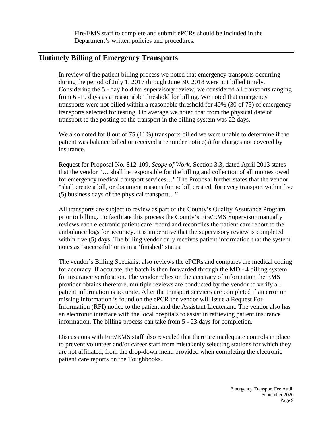Fire/EMS staff to complete and submit ePCRs should be included in the Department's written policies and procedures.

#### **Untimely Billing of Emergency Transports**

In review of the patient billing process we noted that emergency transports occurring during the period of July 1, 2017 through June 30, 2018 were not billed timely. Considering the 5 - day hold for supervisory review, we considered all transports ranging from 6 -10 days as a 'reasonable' threshold for billing. We noted that emergency transports were not billed within a reasonable threshold for 40% (30 of 75) of emergency transports selected for testing. On average we noted that from the physical date of transport to the posting of the transport in the billing system was 22 days.

We also noted for 8 out of 75 (11%) transports billed we were unable to determine if the patient was balance billed or received a reminder notice(s) for charges not covered by insurance.

Request for Proposal No. S12-109, *Scope of Work*, Section 3.3, dated April 2013 states that the vendor "… shall be responsible for the billing and collection of all monies owed for emergency medical transport services…" The Proposal further states that the vendor "shall create a bill, or document reasons for no bill created, for every transport within five (5) business days of the physical transport…"

All transports are subject to review as part of the County's Quality Assurance Program prior to billing. To facilitate this process the County's Fire/EMS Supervisor manually reviews each electronic patient care record and reconciles the patient care report to the ambulance logs for accuracy. It is imperative that the supervisory review is completed within five (5) days. The billing vendor only receives patient information that the system notes as 'successful' or is in a 'finished' status.

The vendor's Billing Specialist also reviews the ePCRs and compares the medical coding for accuracy. If accurate, the batch is then forwarded through the MD - 4 billing system for insurance verification. The vendor relies on the accuracy of information the EMS provider obtains therefore, multiple reviews are conducted by the vendor to verify all patient information is accurate. After the transport services are completed if an error or missing information is found on the ePCR the vendor will issue a Request For Information (RFI) notice to the patient and the Assistant Lieutenant. The vendor also has an electronic interface with the local hospitals to assist in retrieving patient insurance information. The billing process can take from 5 - 23 days for completion.

Discussions with Fire/EMS staff also revealed that there are inadequate controls in place to prevent volunteer and/or career staff from mistakenly selecting stations for which they are not affiliated, from the drop-down menu provided when completing the electronic patient care reports on the Toughbooks.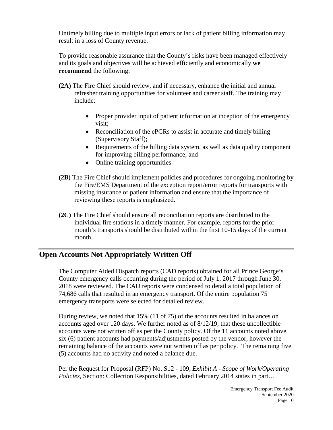Untimely billing due to multiple input errors or lack of patient billing information may result in a loss of County revenue.

To provide reasonable assurance that the County's risks have been managed effectively and its goals and objectives will be achieved efficiently and economically **we recommend** the following:

- **(2A)** The Fire Chief should review, and if necessary, enhance the initial and annual refresher training opportunities for volunteer and career staff. The training may include:
	- Proper provider input of patient information at inception of the emergency visit;
	- Reconciliation of the ePCRs to assist in accurate and timely billing (Supervisory Staff);
	- Requirements of the billing data system, as well as data quality component for improving billing performance; and
	- Online training opportunities
- **(2B)** The Fire Chief should implement policies and procedures for ongoing monitoring by the Fire/EMS Department of the exception report/error reports for transports with missing insurance or patient information and ensure that the importance of reviewing these reports is emphasized.
- **(2C)** The Fire Chief should ensure all reconciliation reports are distributed to the individual fire stations in a timely manner. For example, reports for the prior month's transports should be distributed within the first 10-15 days of the current month.

## **Open Accounts Not Appropriately Written Off**

The Computer Aided Dispatch reports (CAD reports) obtained for all Prince George's County emergency calls occurring during the period of July 1, 2017 through June 30, 2018 were reviewed. The CAD reports were condensed to detail a total population of 74,686 calls that resulted in an emergency transport. Of the entire population 75 emergency transports were selected for detailed review.

During review, we noted that 15% (11 of 75) of the accounts resulted in balances on accounts aged over 120 days. We further noted as of 8/12/19, that these uncollectible accounts were not written off as per the County policy. Of the 11 accounts noted above, six (6) patient accounts had payments/adjustments posted by the vendor, however the remaining balance of the accounts were not written off as per policy. The remaining five (5) accounts had no activity and noted a balance due.

Per the Request for Proposal (RFP) No. S12 - 109, *Exhibit A - Scope of Work/Operating Policies*, Section: Collection Responsibilities, dated February 2014 states in part…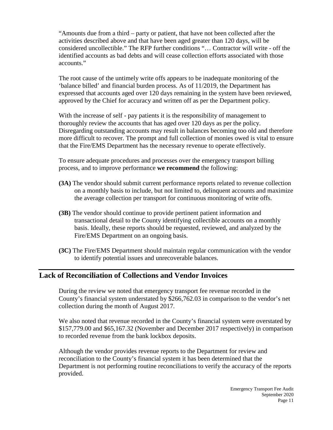"Amounts due from a third – party or patient, that have not been collected after the activities described above and that have been aged greater than 120 days, will be considered uncollectible." The RFP further conditions "… Contractor will write - off the identified accounts as bad debts and will cease collection efforts associated with those accounts."

The root cause of the untimely write offs appears to be inadequate monitoring of the 'balance billed' and financial burden process. As of 11/2019, the Department has expressed that accounts aged over 120 days remaining in the system have been reviewed, approved by the Chief for accuracy and written off as per the Department policy.

With the increase of self - pay patients it is the responsibility of management to thoroughly review the accounts that has aged over 120 days as per the policy. Disregarding outstanding accounts may result in balances becoming too old and therefore more difficult to recover. The prompt and full collection of monies owed is vital to ensure that the Fire/EMS Department has the necessary revenue to operate effectively.

To ensure adequate procedures and processes over the emergency transport billing process, and to improve performance **we recommend** the following:

- **(3A)** The vendor should submit current performance reports related to revenue collection on a monthly basis to include, but not limited to, delinquent accounts and maximize the average collection per transport for continuous monitoring of write offs.
- **(3B)** The vendor should continue to provide pertinent patient information and transactional detail to the County identifying collectible accounts on a monthly basis. Ideally, these reports should be requested, reviewed, and analyzed by the Fire/EMS Department on an ongoing basis.
- **(3C)** The Fire/EMS Department should maintain regular communication with the vendor to identify potential issues and unrecoverable balances.

## **Lack of Reconciliation of Collections and Vendor Invoices**

During the review we noted that emergency transport fee revenue recorded in the County's financial system understated by \$266,762.03 in comparison to the vendor's net collection during the month of August 2017.

We also noted that revenue recorded in the County's financial system were overstated by \$157,779.00 and \$65,167.32 (November and December 2017 respectively) in comparison to recorded revenue from the bank lockbox deposits.

Although the vendor provides revenue reports to the Department for review and reconciliation to the County's financial system it has been determined that the Department is not performing routine reconciliations to verify the accuracy of the reports provided.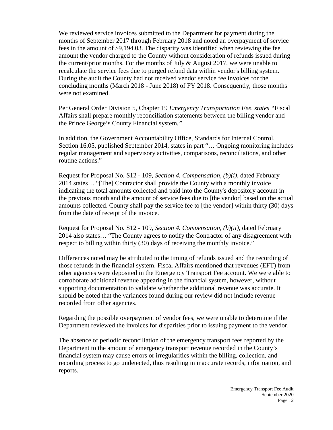We reviewed service invoices submitted to the Department for payment during the months of September 2017 through February 2018 and noted an overpayment of service fees in the amount of \$9,194.03. The disparity was identified when reviewing the fee amount the vendor charged to the County without consideration of refunds issued during the current/prior months. For the months of July  $\&$  August 2017, we were unable to recalculate the service fees due to purged refund data within vendor's billing system. During the audit the County had not received vendor service fee invoices for the concluding months (March 2018 - June 2018) of FY 2018. Consequently, those months were not examined.

Per General Order Division 5, Chapter 19 *Emergency Transportation Fee, states "*Fiscal Affairs shall prepare monthly reconciliation statements between the billing vendor and the Prince George's County Financial system*."* 

In addition, the Government Accountability Office, Standards for Internal Control, Section 16.05, published September 2014, states in part "… Ongoing monitoring includes regular management and supervisory activities, comparisons, reconciliations, and other routine actions."

Request for Proposal No. S12 - 109, *Section 4. Compensation, (b)(i)*, dated February 2014 states… "[The] Contractor shall provide the County with a monthly invoice indicating the total amounts collected and paid into the County's depository account in the previous month and the amount of service fees due to [the vendor] based on the actual amounts collected. County shall pay the service fee to [the vendor] within thirty (30) days from the date of receipt of the invoice.

Request for Proposal No. S12 - 109, *Section 4. Compensation, (b)(ii)*, dated February 2014 also states… "The County agrees to notify the Contractor of any disagreement with respect to billing within thirty (30) days of receiving the monthly invoice."

Differences noted may be attributed to the timing of refunds issued and the recording of those refunds in the financial system. Fiscal Affairs mentioned that revenues (EFT) from other agencies were deposited in the Emergency Transport Fee account. We were able to corroborate additional revenue appearing in the financial system, however, without supporting documentation to validate whether the additional revenue was accurate. It should be noted that the variances found during our review did not include revenue recorded from other agencies.

Regarding the possible overpayment of vendor fees, we were unable to determine if the Department reviewed the invoices for disparities prior to issuing payment to the vendor.

The absence of periodic reconciliation of the emergency transport fees reported by the Department to the amount of emergency transport revenue recorded in the County's financial system may cause errors or irregularities within the billing, collection, and recording process to go undetected, thus resulting in inaccurate records, information, and reports.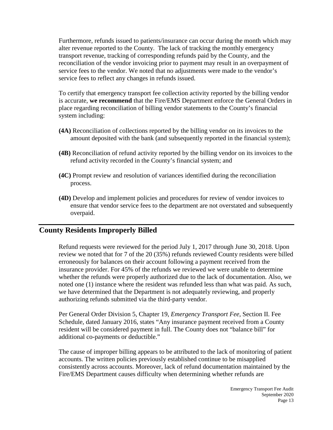Furthermore, refunds issued to patients/insurance can occur during the month which may alter revenue reported to the County. The lack of tracking the monthly emergency transport revenue, tracking of corresponding refunds paid by the County, and the reconciliation of the vendor invoicing prior to payment may result in an overpayment of service fees to the vendor. We noted that no adjustments were made to the vendor's service fees to reflect any changes in refunds issued.

To certify that emergency transport fee collection activity reported by the billing vendor is accurate, **we recommend** that the Fire/EMS Department enforce the General Orders in place regarding reconciliation of billing vendor statements to the County's financial system including:

- **(4A)** Reconciliation of collections reported by the billing vendor on its invoices to the amount deposited with the bank (and subsequently reported in the financial system);
- **(4B)** Reconciliation of refund activity reported by the billing vendor on its invoices to the refund activity recorded in the County's financial system; and
- **(4C)** Prompt review and resolution of variances identified during the reconciliation process.
- **(4D)** Develop and implement policies and procedures for review of vendor invoices to ensure that vendor service fees to the department are not overstated and subsequently overpaid.

#### **County Residents Improperly Billed**

Refund requests were reviewed for the period July 1, 2017 through June 30, 2018. Upon review we noted that for 7 of the 20 (35%) refunds reviewed County residents were billed erroneously for balances on their account following a payment received from the insurance provider. For 45% of the refunds we reviewed we were unable to determine whether the refunds were properly authorized due to the lack of documentation. Also, we noted one (1) instance where the resident was refunded less than what was paid. As such, we have determined that the Department is not adequately reviewing, and properly authorizing refunds submitted via the third-party vendor.

Per General Order Division 5, Chapter 19, *Emergency Transport Fee*, Section II. Fee Schedule, dated January 2016, states "Any insurance payment received from a County resident will be considered payment in full. The County does not "balance bill" for additional co-payments or deductible."

The cause of improper billing appears to be attributed to the lack of monitoring of patient accounts. The written policies previously established continue to be misapplied consistently across accounts. Moreover, lack of refund documentation maintained by the Fire/EMS Department causes difficulty when determining whether refunds are

> Emergency Transport Fee Audit September 2020 Page 13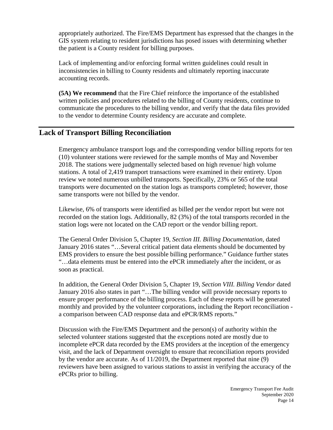appropriately authorized. The Fire/EMS Department has expressed that the changes in the GIS system relating to resident jurisdictions has posed issues with determining whether the patient is a County resident for billing purposes.

Lack of implementing and/or enforcing formal written guidelines could result in inconsistencies in billing to County residents and ultimately reporting inaccurate accounting records.

**(5A) We recommend** that the Fire Chief reinforce the importance of the established written policies and procedures related to the billing of County residents, continue to communicate the procedures to the billing vendor, and verify that the data files provided to the vendor to determine County residency are accurate and complete.

#### **Lack of Transport Billing Reconciliation**

Emergency ambulance transport logs and the corresponding vendor billing reports for ten (10) volunteer stations were reviewed for the sample months of May and November 2018. The stations were judgmentally selected based on high revenue/ high volume stations. A total of 2,419 transport transactions were examined in their entirety. Upon review we noted numerous unbilled transports. Specifically, 23% or 565 of the total transports were documented on the station logs as transports completed; however, those same transports were not billed by the vendor.

Likewise, 6% of transports were identified as billed per the vendor report but were not recorded on the station logs. Additionally, 82 (3%) of the total transports recorded in the station logs were not located on the CAD report or the vendor billing report.

The General Order Division 5, Chapter 19, *Section III. Billing Documentation,* dated January 2016 states "…Several critical patient data elements should be documented by EMS providers to ensure the best possible billing performance." Guidance further states "…data elements must be entered into the ePCR immediately after the incident, or as soon as practical.

In addition, the General Order Division 5, Chapter 19, *Section VIII. Billing Vendor* dated January 2016 also states in part "…The billing vendor will provide necessary reports to ensure proper performance of the billing process. Each of these reports will be generated monthly and provided by the volunteer corporations, including the Report reconciliation a comparison between CAD response data and ePCR/RMS reports."

Discussion with the Fire/EMS Department and the person(s) of authority within the selected volunteer stations suggested that the exceptions noted are mostly due to incomplete ePCR data recorded by the EMS providers at the inception of the emergency visit, and the lack of Department oversight to ensure that reconciliation reports provided by the vendor are accurate. As of 11/2019, the Department reported that nine (9) reviewers have been assigned to various stations to assist in verifying the accuracy of the ePCRs prior to billing.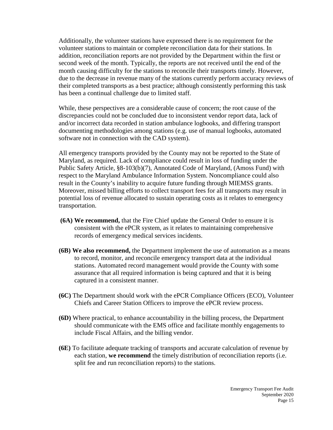Additionally, the volunteer stations have expressed there is no requirement for the volunteer stations to maintain or complete reconciliation data for their stations. In addition, reconciliation reports are not provided by the Department within the first or second week of the month. Typically, the reports are not received until the end of the month causing difficulty for the stations to reconcile their transports timely. However, due to the decrease in revenue many of the stations currently perform accuracy reviews of their completed transports as a best practice; although consistently performing this task has been a continual challenge due to limited staff.

While, these perspectives are a considerable cause of concern; the root cause of the discrepancies could not be concluded due to inconsistent vendor report data, lack of and/or incorrect data recorded in station ambulance logbooks, and differing transport documenting methodologies among stations (e.g. use of manual logbooks, automated software not in connection with the CAD system).

All emergency transports provided by the County may not be reported to the State of Maryland, as required. Lack of compliance could result in loss of funding under the Public Safety Article, §8-103(b)(7), Annotated Code of Maryland, (Amoss Fund) with respect to the Maryland Ambulance Information System. Noncompliance could also result in the County's inability to acquire future funding through MIEMSS grants. Moreover, missed billing efforts to collect transport fees for all transports may result in potential loss of revenue allocated to sustain operating costs as it relates to emergency transportation.

- **(6A) We recommend,** that the Fire Chief update the General Order to ensure it is consistent with the ePCR system, as it relates to maintaining comprehensive records of emergency medical services incidents.
- **(6B) We also recommend,** the Department implement the use of automation as a means to record, monitor, and reconcile emergency transport data at the individual stations. Automated record management would provide the County with some assurance that all required information is being captured and that it is being captured in a consistent manner.
- **(6C)** The Department should work with the ePCR Compliance Officers (ECO), Volunteer Chiefs and Career Station Officers to improve the ePCR review process.
- **(6D)** Where practical, to enhance accountability in the billing process, the Department should communicate with the EMS office and facilitate monthly engagements to include Fiscal Affairs, and the billing vendor.
- **(6E)** To facilitate adequate tracking of transports and accurate calculation of revenue by each station, **we recommend** the timely distribution of reconciliation reports (i.e. split fee and run reconciliation reports) to the stations.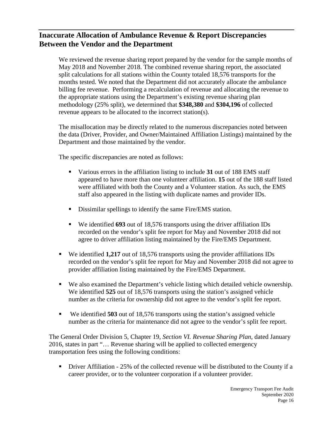## **Inaccurate Allocation of Ambulance Revenue & Report Discrepancies Between the Vendor and the Department**

We reviewed the revenue sharing report prepared by the vendor for the sample months of May 2018 and November 2018. The combined revenue sharing report, the associated split calculations for all stations within the County totaled 18,576 transports for the months tested. We noted that the Department did not accurately allocate the ambulance billing fee revenue. Performing a recalculation of revenue and allocating the revenue to the appropriate stations using the Department's existing revenue sharing plan methodology (25% split), we determined that **\$348,380** and **\$304,196** of collected revenue appears to be allocated to the incorrect station(s).

The misallocation may be directly related to the numerous discrepancies noted between the data (Driver, Provider, and Owner/Maintained Affiliation Listings) maintained by the Department and those maintained by the vendor.

The specific discrepancies are noted as follows:

- Various errors in the affiliation listing to include **31** out of 188 EMS staff appeared to have more than one volunteer affiliation. **15** out of the 188 staff listed were affiliated with both the County and a Volunteer station. As such, the EMS staff also appeared in the listing with duplicate names and provider IDs.
- Dissimilar spellings to identify the same Fire/EMS station.
- We identified **693** out of 18,576 transports using the driver affiliation IDs recorded on the vendor's split fee report for May and November 2018 did not agree to driver affiliation listing maintained by the Fire/EMS Department.
- We identified **1,217** out of 18,576 transports using the provider affiliations IDs recorded on the vendor's split fee report for May and November 2018 did not agree to provider affiliation listing maintained by the Fire/EMS Department.
- We also examined the Department's vehicle listing which detailed vehicle ownership. We identified **525** out of 18,576 transports using the station's assigned vehicle number as the criteria for ownership did not agree to the vendor's split fee report.
- We identified **503** out of 18,576 transports using the station's assigned vehicle number as the criteria for maintenance did not agree to the vendor's split fee report.

The General Order Division 5, Chapter 19, *Section VI. Revenue Sharing Plan*, dated January 2016, states in part "… Revenue sharing will be applied to collected emergency transportation fees using the following conditions:

• Driver Affiliation - 25% of the collected revenue will be distributed to the County if a career provider, or to the volunteer corporation if a volunteer provider.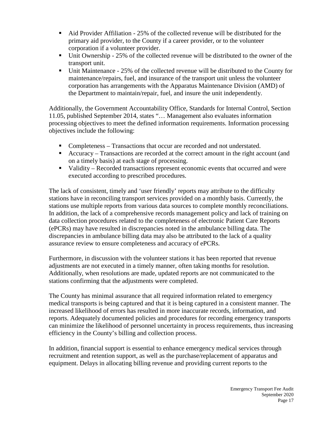- Aid Provider Affiliation 25% of the collected revenue will be distributed for the primary aid provider, to the County if a career provider, or to the volunteer corporation if a volunteer provider.
- Unit Ownership 25% of the collected revenue will be distributed to the owner of the transport unit.
- Unit Maintenance 25% of the collected revenue will be distributed to the County for maintenance/repairs, fuel, and insurance of the transport unit unless the volunteer corporation has arrangements with the Apparatus Maintenance Division (AMD) of the Department to maintain/repair, fuel, and insure the unit independently.

Additionally, the Government Accountability Office, Standards for Internal Control, Section 11.05, published September 2014, states "… Management also evaluates information processing objectives to meet the defined information requirements. Information processing objectives include the following:

- Completeness Transactions that occur are recorded and not understated.
- Accuracy Transactions are recorded at the correct amount in the right account (and on a timely basis) at each stage of processing.
- Validity Recorded transactions represent economic events that occurred and were executed according to prescribed procedures.

The lack of consistent, timely and 'user friendly' reports may attribute to the difficulty stations have in reconciling transport services provided on a monthly basis. Currently, the stations use multiple reports from various data sources to complete monthly reconciliations. In addition, the lack of a comprehensive records management policy and lack of training on data collection procedures related to the completeness of electronic Patient Care Reports (ePCRs) may have resulted in discrepancies noted in the ambulance billing data. The discrepancies in ambulance billing data may also be attributed to the lack of a quality assurance review to ensure completeness and accuracy of ePCRs.

Furthermore, in discussion with the volunteer stations it has been reported that revenue adjustments are not executed in a timely manner, often taking months for resolution. Additionally, when resolutions are made, updated reports are not communicated to the stations confirming that the adjustments were completed.

The County has minimal assurance that all required information related to emergency medical transports is being captured and that it is being captured in a consistent manner. The increased likelihood of errors has resulted in more inaccurate records, information, and reports. Adequately documented policies and procedures for recording emergency transports can minimize the likelihood of personnel uncertainty in process requirements, thus increasing efficiency in the County's billing and collection process.

In addition, financial support is essential to enhance emergency medical services through recruitment and retention support, as well as the purchase/replacement of apparatus and equipment. Delays in allocating billing revenue and providing current reports to the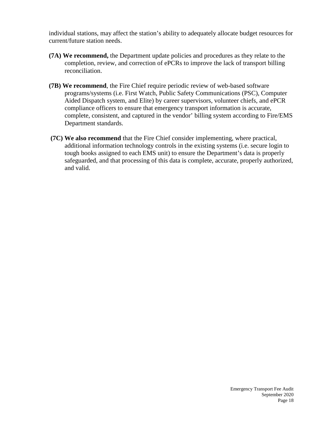individual stations, may affect the station's ability to adequately allocate budget resources for current/future station needs.

- **(7A) We recommend,** the Department update policies and procedures as they relate to the completion, review, and correction of ePCRs to improve the lack of transport billing reconciliation.
- **(7B) We recommend**, the Fire Chief require periodic review of web-based software programs/systems (i.e. First Watch, Public Safety Communications (PSC), Computer Aided Dispatch system, and Elite) by career supervisors, volunteer chiefs, and ePCR compliance officers to ensure that emergency transport information is accurate, complete, consistent, and captured in the vendor' billing system according to Fire/EMS Department standards.
- **(7C) We also recommend** that the Fire Chief consider implementing, where practical, additional information technology controls in the existing systems (i.e. secure login to tough books assigned to each EMS unit) to ensure the Department's data is properly safeguarded, and that processing of this data is complete, accurate, properly authorized, and valid.